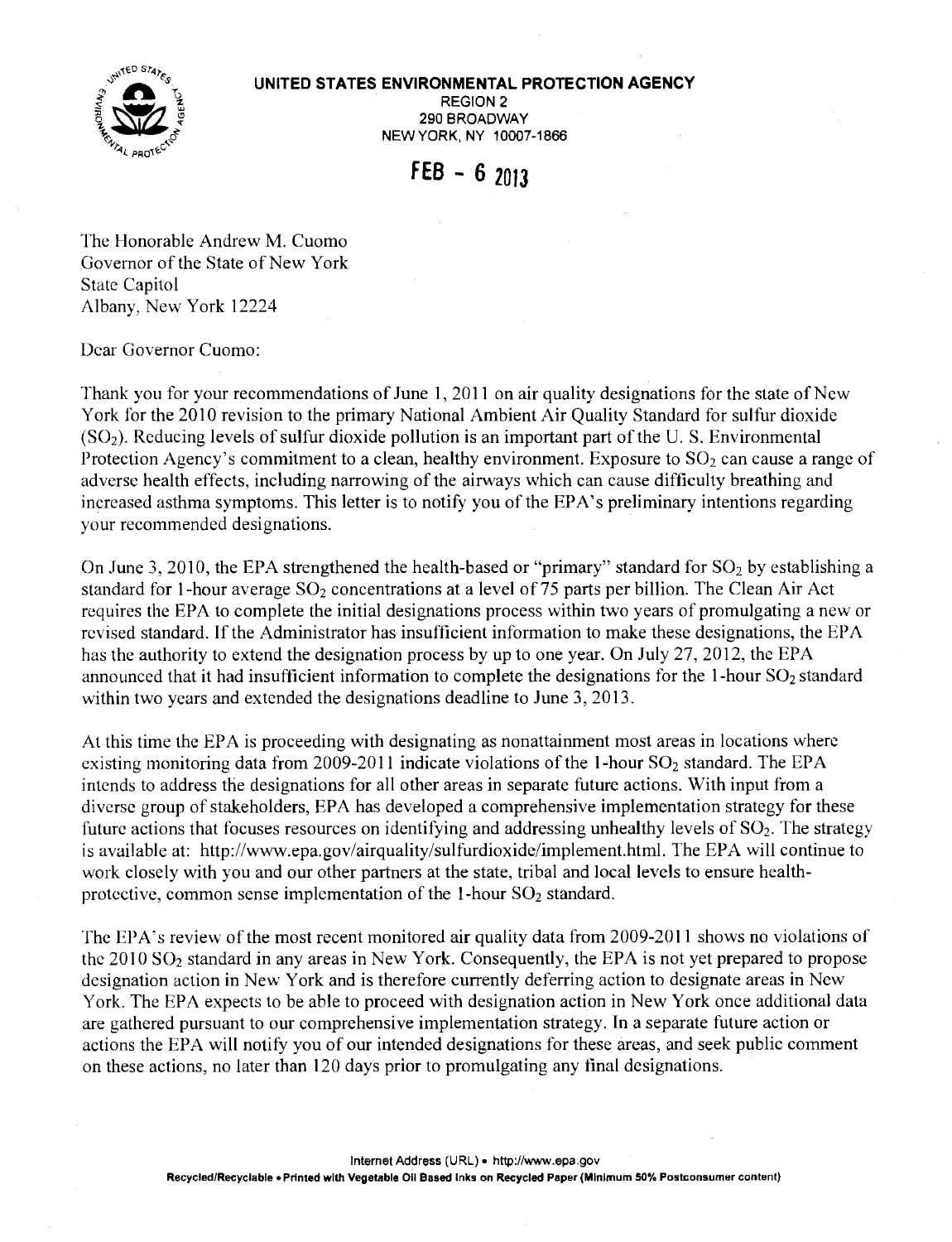## **UNITED STATES ENVIRONMENTAL PROTECTION AGENCY**



REGION2 290 BROADWAY NEWYORK, NY 10007-1866

**fEB - 6 2013** 

The Honorable Andrew M. Cuomo Governor of the State of New York State Capitol Albany, New York 12224

Dear Governor Cuomo:

Thank you for your recommendations of June I, 2011 on air quality designations for the state of New York for the 2010 revision to the primary National Ambient Air Quality Standard for sulfur dioxide  $(SO<sub>2</sub>)$ . Reducing levels of sulfur dioxide pollution is an important part of the U. S. Environmental Protection Agency's commitment to a clean, healthy environment. Exposure to  $SO_2$  can cause a range of adverse health effects, including narrowing of the airways which can cause difficulty breathing and increased asthma symptoms. This letter is to notify you of the EPA's preliminary intentions regarding your recommended designations.

On June 3, 2010, the EPA strengthened the health-based or "primary" standard for  $SO_2$  by establishing a standard for 1-hour average  $SO_2$  concentrations at a level of 75 parts per billion. The Clean Air Act requires the EPA to complete the initial designations process within two years of promulgating a new or revised standard. If the Administrator has insufficient information to make these designations, the EPA has the authority to extend the designation process by up to one year. On July 27, 2012, the EPA announced that it had insufficient information to complete the designations for the  $1$ -hour SO<sub>2</sub> standard within two years and extended the designations deadline to June 3, 2013.

At this time the EPA is proceeding with designating as nonattainment most areas in locations where existing monitoring data from 2009-2011 indicate violations of the 1-hour  $SO_2$  standard. The EPA intends to address the designations for all other areas in separate future actions. With input from a diverse group of stakeholders, EPA has developed a comprehensive implementation strategy for these future actions that focuses resources on identifying and addressing unhealthy levels of  $SO_2$ . The strategy is available at: <http://www.epa.gov/airquality/sulfurdioxide/implement.html>. The EPA will continue to work closely with you and our other partners at the state, tribal and local levels to ensure healthprotective, common sense implementation of the 1-hour  $SO<sub>2</sub>$  standard.

The EPA's review of the most recent monitored air quality data from 2009-2011 shows no violations of the 2010 SO2 standard in any areas in New York. Consequently, the EPA is not yet prepared to propose designation action in New York and is therefore currently deferring action to designate areas in New York. The EPA expects to be able to proceed with designation action in New York once additional data are gathered pursuant to our comprehensive implementation strategy. In a separate future action or actions the EPA will notify you of our intended designations for these areas, and seek public comment on these actions, no later than 120 days prior to promulgating any final designations.